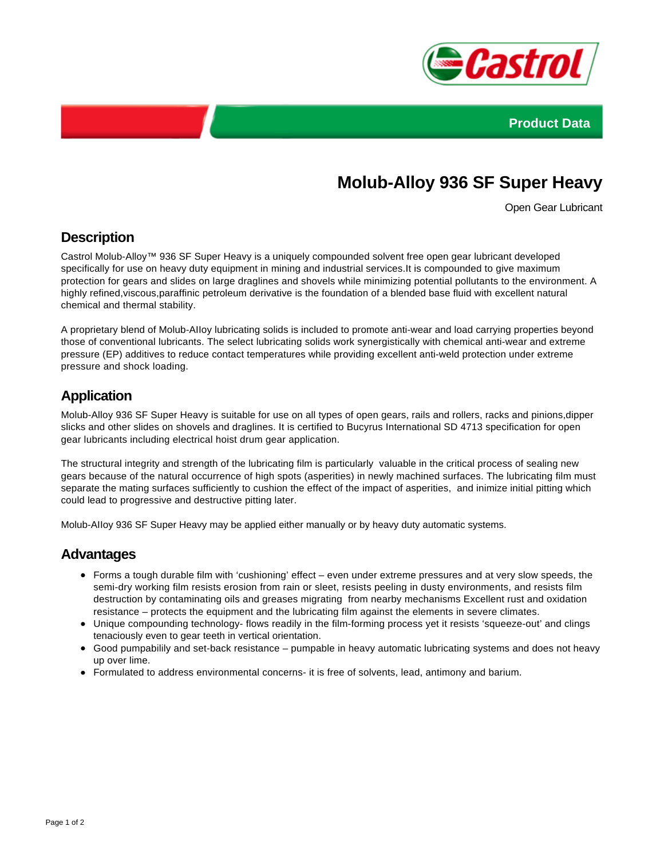



# **Molub-Alloy 936 SF Super Heavy**

Open Gear Lubricant

### **Description**

Castrol Molub-Alloy™ 936 SF Super Heavy is a uniquely compounded solvent free open gear lubricant developed specifically for use on heavy duty equipment in mining and industrial services.It is compounded to give maximum protection for gears and slides on large draglines and shovels while minimizing potential pollutants to the environment. A highly refined,viscous,paraffinic petroleum derivative is the foundation of a blended base fluid with excellent natural chemical and thermal stability.

A proprietary blend of Molub-AIIoy lubricating solids is included to promote anti-wear and load carrying properties beyond those of conventional lubricants. The select lubricating solids work synergistically with chemical anti-wear and extreme pressure (EP) additives to reduce contact temperatures while providing excellent anti-weld protection under extreme pressure and shock loading.

## **Application**

Molub-Alloy 936 SF Super Heavy is suitable for use on all types of open gears, rails and rollers, racks and pinions,dipper slicks and other slides on shovels and draglines. It is certified to Bucyrus International SD 4713 specification for open gear lubricants including electrical hoist drum gear application.

The structural integrity and strength of the lubricating film is particularly valuable in the critical process of sealing new gears because of the natural occurrence of high spots (asperities) in newly machined surfaces. The lubricating film must separate the mating surfaces sufficiently to cushion the effect of the impact of asperities, and inimize initial pitting which could lead to progressive and destructive pitting later.

Molub-AIIoy 936 SF Super Heavy may be applied either manually or by heavy duty automatic systems.

#### **Advantages**

- Forms a tough durable film with 'cushioning' effect even under extreme pressures and at very slow speeds, the semi-dry working film resists erosion from rain or sleet, resists peeling in dusty environments, and resists film destruction by contaminating oils and greases migrating from nearby mechanisms Excellent rust and oxidation resistance – protects the equipment and the lubricating film against the elements in severe climates.
- Unique compounding technology- flows readily in the film-forming process yet it resists 'squeeze-out' and clings tenaciously even to gear teeth in vertical orientation.
- Good pumpabilily and set-back resistance pumpable in heavy automatic lubricating systems and does not heavy up over lime.
- Formulated to address environmental concerns- it is free of solvents, lead, antimony and barium.